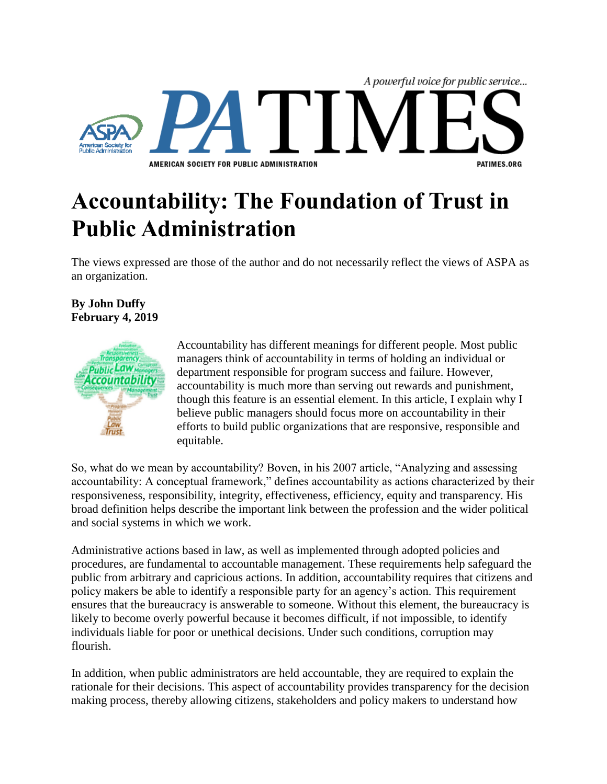

## **Accountability: The Foundation of Trust in Public Administration**

The views expressed are those of the author and do not necessarily reflect the views of ASPA as an organization.

## **By John Duffy February 4, 2019**



Accountability has different meanings for different people. Most public managers think of accountability in terms of holding an individual or department responsible for program success and failure. However, accountability is much more than serving out rewards and punishment, though this feature is an essential element. In this article, I explain why I believe public managers should focus more on accountability in their efforts to build public organizations that are responsive, responsible and equitable.

So, what do we mean by accountability? Boven, in his 2007 article, "Analyzing and assessing accountability: A conceptual framework," defines accountability as actions characterized by their responsiveness, responsibility, integrity, effectiveness, efficiency, equity and transparency. His broad definition helps describe the important link between the profession and the wider political and social systems in which we work.

Administrative actions based in law, as well as implemented through adopted policies and procedures, are fundamental to accountable management. These requirements help safeguard the public from arbitrary and capricious actions. In addition, accountability requires that citizens and policy makers be able to identify a responsible party for an agency's action. This requirement ensures that the bureaucracy is answerable to someone. Without this element, the bureaucracy is likely to become overly powerful because it becomes difficult, if not impossible, to identify individuals liable for poor or unethical decisions. Under such conditions, corruption may flourish.

In addition, when public administrators are held accountable, they are required to explain the rationale for their decisions. This aspect of accountability provides transparency for the decision making process, thereby allowing citizens, stakeholders and policy makers to understand how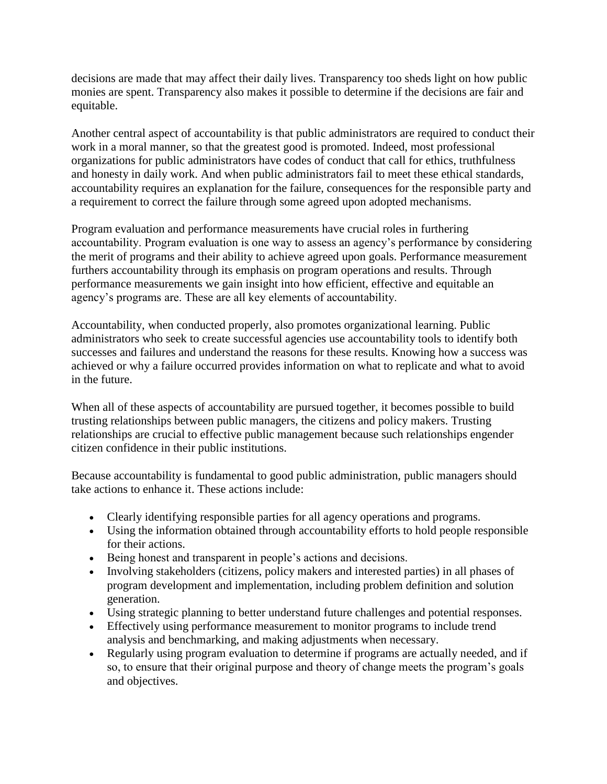decisions are made that may affect their daily lives. Transparency too sheds light on how public monies are spent. Transparency also makes it possible to determine if the decisions are fair and equitable.

Another central aspect of accountability is that public administrators are required to conduct their work in a moral manner, so that the greatest good is promoted. Indeed, most professional organizations for public administrators have codes of conduct that call for ethics, truthfulness and honesty in daily work. And when public administrators fail to meet these ethical standards, accountability requires an explanation for the failure, consequences for the responsible party and a requirement to correct the failure through some agreed upon adopted mechanisms.

Program evaluation and performance measurements have crucial roles in furthering accountability. Program evaluation is one way to assess an agency's performance by considering the merit of programs and their ability to achieve agreed upon goals. Performance measurement furthers accountability through its emphasis on program operations and results. Through performance measurements we gain insight into how efficient, effective and equitable an agency's programs are. These are all key elements of accountability.

Accountability, when conducted properly, also promotes organizational learning. Public administrators who seek to create successful agencies use accountability tools to identify both successes and failures and understand the reasons for these results. Knowing how a success was achieved or why a failure occurred provides information on what to replicate and what to avoid in the future.

When all of these aspects of accountability are pursued together, it becomes possible to build trusting relationships between public managers, the citizens and policy makers. Trusting relationships are crucial to effective public management because such relationships engender citizen confidence in their public institutions.

Because accountability is fundamental to good public administration, public managers should take actions to enhance it. These actions include:

- Clearly identifying responsible parties for all agency operations and programs.
- Using the information obtained through accountability efforts to hold people responsible for their actions.
- Being honest and transparent in people's actions and decisions.
- Involving stakeholders (citizens, policy makers and interested parties) in all phases of program development and implementation, including problem definition and solution generation.
- Using strategic planning to better understand future challenges and potential responses.
- Effectively using performance measurement to monitor programs to include trend analysis and benchmarking, and making adjustments when necessary.
- Regularly using program evaluation to determine if programs are actually needed, and if so, to ensure that their original purpose and theory of change meets the program's goals and objectives.